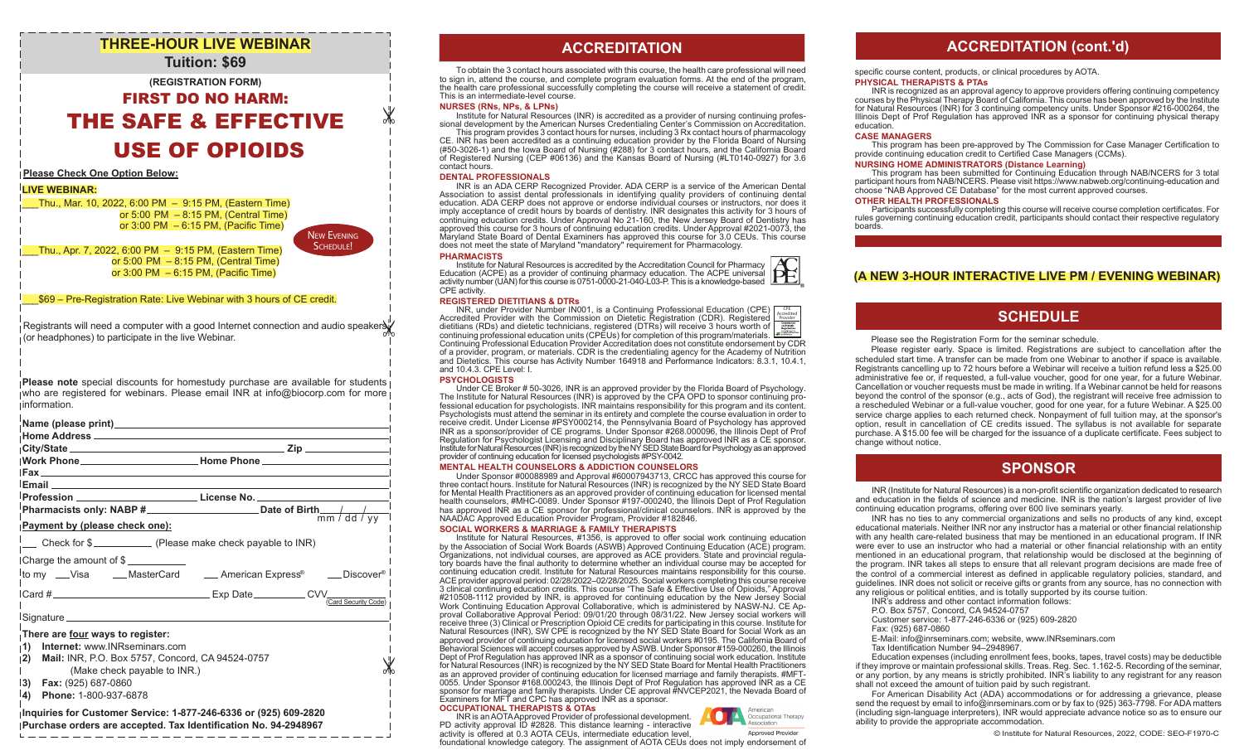# **THREE-HOUR LIVE WEBINAR Tuition: \$69**

## **(REGISTRATION FORM)**

FIRST DO NO HARM: THE SAFE & EFFECTIVE USE OF OPIOIDS

### **Please Check One Option Below:**

## **LIVE WEBINAR:**

\_\_\_Thu., Mar. 10, 2022, 6:00 PM – 9:15 PM, (Eastern Time) or  $5:00$  PM  $-8:15$  PM, (Central Time) or 3:00 PM – 6:15 PM, (Pacific Time)

New Evening SCHEDULE!

\_\_\_Thu., Apr. 7, 2022, 6:00 PM – 9:15 PM, (Eastern Time) or  $5:00 \text{ PM } - 8:15 \text{ PM}$ . (Central Time) or 3:00 PM – 6:15 PM, (Pacific Time)

### \_\_\_\$69 – Pre-Registration Rate: Live Webinar with 3 hours of CE credit.

Registrants will need a computer with a good Internet connection and audio speakers of (or headphones) to participate in the live Webinar.

**Please note** special discounts for homestudy purchase are available for students who are registered for webinars. Please email INR at info@biocorp.com for more information.

|                                                                                                                                                                                                                                                 | <u>I Email Adam a chuid ann an t-Iomraidh ann an t-Iomraidh ann an t-Iomraidh ann an t-Iomraidh ann an t-Iomraid</u> |
|-------------------------------------------------------------------------------------------------------------------------------------------------------------------------------------------------------------------------------------------------|----------------------------------------------------------------------------------------------------------------------|
|                                                                                                                                                                                                                                                 |                                                                                                                      |
|                                                                                                                                                                                                                                                 |                                                                                                                      |
| Payment by (please check one):                                                                                                                                                                                                                  |                                                                                                                      |
|                                                                                                                                                                                                                                                 |                                                                                                                      |
| Charge the amount of \$                                                                                                                                                                                                                         |                                                                                                                      |
|                                                                                                                                                                                                                                                 | lto my __Visa ____MasterCard _____American Express® ____Discover® l                                                  |
|                                                                                                                                                                                                                                                 | (Card Security Code)                                                                                                 |
|                                                                                                                                                                                                                                                 |                                                                                                                      |
| There are four ways to register:<br>Internet: www.INRseminars.com<br>$\vert$ 1)<br> 2)<br>Mail: INR, P.O. Box 5757, Concord, CA 94524-0757<br>(Make check payable to INR.)<br>$ 3)$ Fax: (925) 687-0860<br>$ 4\rangle$<br>Phone: 1-800-937-6878 |                                                                                                                      |
| <b>Inquiries for Customer Service: 1-877-246-6336 or (925) 609-2820</b>                                                                                                                                                                         |                                                                                                                      |

## **Inquiries for Customer Service: 1-877-246-6336 or (925) 609-2820 Purchase orders are accepted. Tax Identification No. 94-2948967**

# **ACCREDITATION ACCREDITATION**

To obtain the 3 contact hours associated with this course, the health care professional will need to sign in, attend the course, and complete program evaluation forms. At the end of the program, the health care professional successfully completing the course will receive a statement of credit. This is an intermediate-level course.

#### **NURSES (RNs, NPs, & LPNs)**

Institute for Natural Resources (INR) is accredited as a provider of nursing continuing professional development by the American Nurses Credentialing Center's Commission on Accreditation.

This program provides 3 contact hours for nurses, including 3 Rx contact hours of pharmacology CE. INR has been accredited as a continuing education provider by the Florida Board of Nursing (#50-3026-1) and the Iowa Board of Nursing (#288) for 3 contact hours, and the California Board of Registered Nursing (CEP #06136) and the Kansas Board of Nursing (#LT0140-0927) for 3.6 contact hours.

#### **DENTAL PROFESSIONALS**

INR is an ADA CERP Recognized Provider. ADA CERP is a service of the American Dental Association to assist dental professionals in identifying quality providers of continuing dental education. ADA CERP does not approve or endorse individual courses or instructors, nor does it imply acceptance of credit hours by boards of dentistry. INR designates this activity for 3 hours of continuing education credits. Under Approval No 21-160, the New Jersey Board of Dentistry has approved this course for 3 hours of continuing education credits. Under Approval #2021-0073, the Maryland State Board of Dental Examiners has approved this course for 3.0 CEUs. This course does not meet the state of Maryland "mandatory" requirement for Pharmacology.

#### **PHARMACISTS**

₩

Institute for Natural Resources is accredited by the Accreditation Council for Pharmacy Education (ACPE) as a provider of continuing pharmacy education. The ACPE universal activity number (UAN) for this course is 0751-0000-21-040-L03-P. This is a knowledge-based CPE activity.

### **REGISTERED DIETITIANS & DTRs**

INR, under Provider Number IN001, is a Continuing Professional Education (CPE) Accredited Provider with the Commission on Dietetic Registration (CDR). Registered dietitians (RDs) and dietetic technicians, registered (DTRs) will receive 3 hours worth of صحيت |<br>| continuing professional education units (CPEUs) for completion of this program/materials. صحيح المستحدثة<br>| Continuing Pro of a provider, program, or materials. CDR is the credentialing agency for the Academy of Nutrition and Dietetics. This course has Activity Number 164918 and Performance Indicators: 8.3.1, 10.4.1, and 10.4.3. CPE Level: I. CPE Accredited Provider

#### **PSYCHOLOGISTS**

Under CE Broker # 50-3026, INR is an approved provider by the Florida Board of Psychology. The Institute for Natural Resources (INR) is approved by the CPA OPD to sponsor continuing professional education for psychologists. INR maintains responsibility for this program and its content. Psychologists must attend the seminar in its entirety and complete the course evaluation in order to receive credit. Under License #PSY000214, the Pennsylvania Board of Psychology has approved INR as a sponsor/provider of CE programs. Under Sponsor #268.000096, the Illinois Dept of Prof Regulation for Psychologist Licensing and Disciplinary Board has approved INR as a CE sponsor. Institute for Natural Resources (INR) is recognized by the NY SED State Board for Psychology as an approved provider of continuing education for licensed psychologists #PSY-0042.

#### **MENTAL HEALTH COUNSELORS & ADDICTION COUNSELORS**

Under Sponsor #00088989 and Approval #60007943713, CRCC has approved this course for three contact hours. Institute for Natural Resources (INR) is recognized by the NY SED State Board for Mental Health Practitioners as an approved provider of continuing education for licensed mental health counselors, #MHC-0089. Under Sponsor #197-000240, the Illinois Dept of Prof Regulation has approved INR as a CE sponsor for professional/clinical counselors. INR is approved by the NAADAC Approved Education Provider Program, Provider #182846.

### **SOCIAL WORKERS & MARRIAGE & FAMILY THERAPISTS**

Institute for Natural Resources, #1356, is approved to offer social work continuing education by the Association of Social Work Boards (ASWB) Approved Continuing Education (ACE) program. Organizations, not individual courses, are approved as ACE providers. State and provincial regulatory boards have the final authority to determine whether an individual course may be accepted for continuing education credit. Institute for Natural Resources maintains responsibility for this course. ACE provider approval period: 02/28/2022–02/28/2025. Social workers completing this course receive 3 clinical continuing education credits. This course "The Safe & Effective Use of Opioids," Approval #210508-1112 provided by INR, is approved for continuing education by the New Jersey Social Work Continuing Education Approval Collaborative, which is administered by NASW-NJ. CE Approval Collaborative Approval Period: 09/01/20 through 08/31/22. New Jersey social workers will receive three (3) Clinical or Prescription Opioid CE credits for participating in this course. Institute for Natural Resources (INR), SW CPE is recognized by the NY SED State Board for Social Work as an approved provider of continuing education for licensed social workers #0195. The California Board of Behavioral Sciences will accept courses approved by ASWB. Under Sponsor #159-000260, the Illinois Dept of Prof Regulation has approved INR as a sponsor of continuing social work education. Institute for Natural Resources (INR) is recognized by the NY SED State Board for Mental Health Practitioners as an approved provider of continuing education for licensed marriage and family therapists. #MFT-0055. Under Sponsor #168.000243, the Illinois Dept of Prof Regulation has approved INR as a CE sponsor for marriage and family therapists. Under CE approval #NVCEP2021, the Nevada Board of Examiners for MFT and CPC has approved INR as a sponsor. **OCCUPATIONAL THERAPISTS & OTAs**

INR is an AOTA Approved Provider of professional development. PD activity approval ID #2828. This distance learning - interactive activity is offered at 0.3 AOTA CEUs, intermediate education level,

**Annroved Provider** foundational knowledge category. The assignment of AOTA CEUs does not imply endorsement of

# **ACCREDITATION (cont.'d)**

specific course content, products, or clinical procedures by AOTA.

#### **PHYSICAL THERAPISTS & PTAs**

INR is recognized as an approval agency to approve providers offering continuing competency courses by the Physical Therapy Board of California. This course has been approved by the Institute for Natural Resources (INR) for 3 continuing competency units. Under Sponsor #216-000264, the Illinois Dept of Prof Regulation has approved INR as a sponsor for continuing physical therapy education.

#### **CASE MANAGERS**

This program has been pre-approved by The Commission for Case Manager Certification to provide continuing education credit to Certified Case Managers (CCMs).

### **NURSING HOME ADMINISTRATORS (Distance Learning)**

This program has been submitted for Continuing Education through NAB/NCERS for 3 total participant hours from NAB/NCERS. Please visit https://www.nabweb.org/continuing-education and choose "NAB Approved CE Database" for the most current approved courses.

#### **OTHER HEALTH PROFESSIONALS**

Participants successfully completing this course will receive course completion certificates. For rules governing continuing education credit, participants should contact their respective regulatory boards.

## **(A NEW 3-HOUR INTERACTIVE LIVE PM / EVENING WEBINAR)**

## **SCHEDULE**

#### Please see the Registration Form for the seminar schedule.

 Please register early. Space is limited. Registrations are subject to cancellation after the scheduled start time. A transfer can be made from one Webinar to another if space is available. Registrants cancelling up to 72 hours before a Webinar will receive a tuition refund less a \$25.00 administrative fee or, if requested, a full-value voucher, good for one year, for a future Webinar. Cancellation or voucher requests must be made in writing. If a Webinar cannot be held for reasons beyond the control of the sponsor (e.g., acts of God), the registrant will receive free admission to a rescheduled Webinar or a full-value voucher, good for one year, for a future Webinar. A \$25.00 service charge applies to each returned check. Nonpayment of full tuition may, at the sponsor's option, result in cancellation of CE credits issued. The syllabus is not available for separate purchase. A \$15.00 fee will be charged for the issuance of a duplicate certificate. Fees subject to change without notice.

# **SPONSOR**

INR (Institute for Natural Resources) is a non-profit scientific organization dedicated to research and education in the fields of science and medicine. INR is the nation's largest provider of live continuing education programs, offering over 600 live seminars yearly.

 INR has no ties to any commercial organizations and sells no products of any kind, except educational materials. Neither INR nor any instructor has a material or other financial relationship with any health care-related business that may be mentioned in an educational program. If INR were ever to use an instructor who had a material or other financial relationship with an entity mentioned in an educational program, that relationship would be disclosed at the beginning of the program. INR takes all steps to ensure that all relevant program decisions are made free of the control of a commercial interest as defined in applicable regulatory policies, standard, and guidelines. INR does not solicit or receive gifts or grants from any source, has no connection with any religious or political entities, and is totally supported by its course tuition.

- INR's address and other contact information follows:
- P.O. Box 5757, Concord, CA 94524-0757
- Customer service: 1-877-246-6336 or (925) 609-2820
- Fax: (925) 687-0860
- E-Mail: info@inrseminars.com; website, www.INRseminars.com
- Tax Identification Number 94–2948967.

 Education expenses (including enrollment fees, books, tapes, travel costs) may be deductible if they improve or maintain professional skills. Treas. Reg. Sec. 1.162-5. Recording of the seminar, or any portion, by any means is strictly prohibited. INR's liability to any registrant for any reason shall not exceed the amount of tuition paid by such registrant.

 For American Disability Act (ADA) accommodations or for addressing a grievance, please send the request by email to info@inrseminars.com or by fax to (925) 363-7798. For ADA matters (including sign-language interpreters), INR would appreciate advance notice so as to ensure our ability to provide the appropriate accommodation.

American Occupational Therapy Association